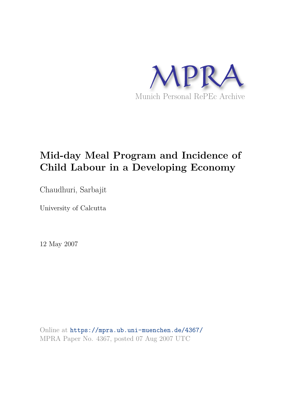

# **Mid-day Meal Program and Incidence of Child Labour in a Developing Economy**

Chaudhuri, Sarbajit

University of Calcutta

12 May 2007

Online at https://mpra.ub.uni-muenchen.de/4367/ MPRA Paper No. 4367, posted 07 Aug 2007 UTC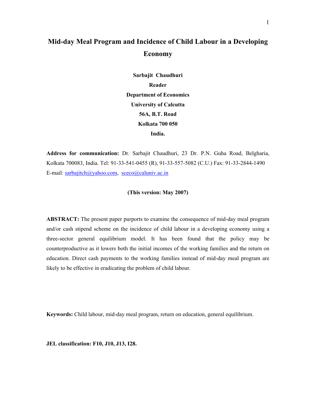# **Mid-day Meal Program and Incidence of Child Labour in a Developing Economy**

**Sarbajit Chaudhuri Reader Department of Economics University of Calcutta 56A, B.T. Road Kolkata 700 050 India.** 

**Address for communication:** Dr. Sarbajit Chaudhuri, 23 Dr. P.N. Guha Road, Belgharia, Kolkata 700083, India. Tel: 91-33-541-0455 (R), 91-33-557-5082 (C.U.) Fax: 91-33-2844-1490 E-mail: sarbajitch@yahoo.com, sceco@caluniv.ac.in

# **(This version: May 2007)**

**ABSTRACT:** The present paper purports to examine the consequence of mid-day meal program and/or cash stipend scheme on the incidence of child labour in a developing economy using a three-sector general equilibrium model. It has been found that the policy may be counterproductive as it lowers both the initial incomes of the working families and the return on education. Direct cash payments to the working families instead of mid-day meal program are likely to be effective in eradicating the problem of child labour.

**Keywords:** Child labour, mid-day meal program, return on education, general equilibrium.

**JEL classification: F10, J10, J13, I28.**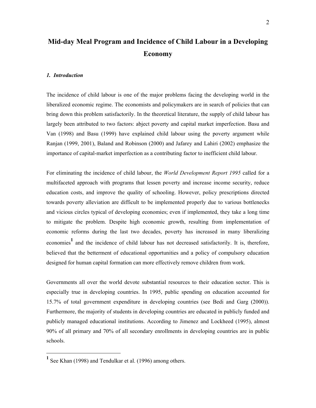# **Mid-day Meal Program and Incidence of Child Labour in a Developing Economy**

#### *1. Introduction*

The incidence of child labour is one of the major problems facing the developing world in the liberalized economic regime. The economists and policymakers are in search of policies that can bring down this problem satisfactorily. In the theoretical literature, the supply of child labour has largely been attributed to two factors: abject poverty and capital market imperfection. Basu and Van (1998) and Basu (1999) have explained child labour using the poverty argument while Ranjan (1999, 2001), Baland and Robinson (2000) and Jafarey and Lahiri (2002) emphasize the importance of capital-market imperfection as a contributing factor to inefficient child labour.

For eliminating the incidence of child labour, the *World Development Report 1995* called for a multifaceted approach with programs that lessen poverty and increase income security, reduce education costs, and improve the quality of schooling. However, policy prescriptions directed towards poverty alleviation are difficult to be implemented properly due to various bottlenecks and vicious circles typical of developing economies; even if implemented, they take a long time to mitigate the problem. Despite high economic growth, resulting from implementation of economic reforms during the last two decades, poverty has increased in many liberalizing economies<sup>1</sup> and the incidence of child labour has not decreased satisfactorily. It is, therefore, believed that the betterment of educational opportunities and a policy of compulsory education designed for human capital formation can more effectively remove children from work.

Governments all over the world devote substantial resources to their education sector. This is especially true in developing countries. In 1995, public spending on education accounted for 15.7% of total government expenditure in developing countries (see Bedi and Garg (2000)). Furthermore, the majority of students in developing countries are educated in publicly funded and publicly managed educational institutions. According to Jimenez and Lockheed (1995), almost 90% of all primary and 70% of all secondary enrollments in developing countries are in public schools.

<u>.</u>

**<sup>1</sup>** See Khan (1998) and Tendulkar et al. (1996) among others.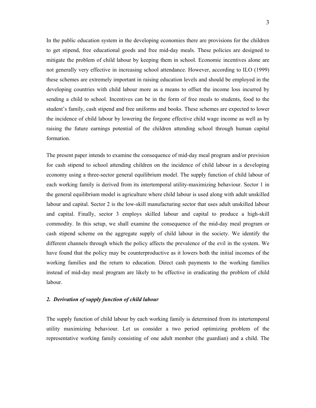In the public education system in the developing economies there are provisions for the children to get stipend, free educational goods and free mid-day meals. These policies are designed to mitigate the problem of child labour by keeping them in school. Economic incentives alone are not generally very effective in increasing school attendance. However, according to ILO (1999) these schemes are extremely important in raising education levels and should be employed in the developing countries with child labour more as a means to offset the income loss incurred by sending a child to school. Incentives can be in the form of free meals to students, food to the student's family, cash stipend and free uniforms and books. These schemes are expected to lower the incidence of child labour by lowering the forgone effective child wage income as well as by raising the future earnings potential of the children attending school through human capital formation.

The present paper intends to examine the consequence of mid-day meal program and/or provision for cash stipend to school attending children on the incidence of child labour in a developing economy using a three-sector general equilibrium model. The supply function of child labour of each working family is derived from its intertemporal utility-maximizing behaviour. Sector 1 in the general equilibrium model is agriculture where child labour is used along with adult unskilled labour and capital. Sector 2 is the low-skill manufacturing sector that uses adult unskilled labour and capital. Finally, sector 3 employs skilled labour and capital to produce a high-skill commodity. In this setup, we shall examine the consequence of the mid-day meal program or cash stipend scheme on the aggregate supply of child labour in the society. We identify the different channels through which the policy affects the prevalence of the evil in the system. We have found that the policy may be counterproductive as it lowers both the initial incomes of the working families and the return to education. Direct cash payments to the working families instead of mid-day meal program are likely to be effective in eradicating the problem of child labour.

#### *2. Derivation of supply function of child labour*

The supply function of child labour by each working family is determined from its intertemporal utility maximizing behaviour. Let us consider a two period optimizing problem of the representative working family consisting of one adult member (the guardian) and a child. The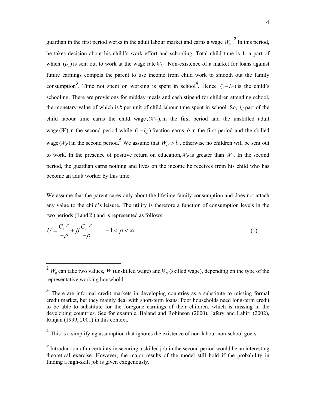guardian in the first period works in the adult labour market and earns a wage  $W_0$ <sup>2</sup>. In this period, he takes decision about his child's work effort and schooling. Total child time is 1, a part of which  $(l_C)$  is sent out to work at the wage rate  $W_C$ . Non-existence of a market for loans against future earnings compels the parent to use income from child work to smooth out the family consumption<sup>3</sup>. Time not spent on working is spent in school<sup>4</sup>. Hence  $(1-l_C)$  is the child's schooling. There are provisions for midday meals and cash stipend for children attending school, the monetary value of which is  $b$  per unit of child labour time spent in school. So,  $l_C$  part of the child labour time earns the child wage,  $(W_C)$ , in the first period and the unskilled adult wage (*W*) in the second period while  $(1 - l_C)$  fraction earns *b* in the first period and the skilled wage ( $W_S$ ) in the second period.<sup>5</sup> We assume that  $W_C > b$ , otherwise no children will be sent out to work. In the presence of positive return on education,  $W<sub>S</sub>$  is greater than  $W$ . In the second period, the guardian earns nothing and lives on the income he receives from his child who has become an adult worker by this time.

We assume that the parent cares only about the lifetime family consumption and does not attach any value to the child's leisure. The utility is therefore a function of consumption levels in the two periods (1and 2 ) and is represented as follows.

$$
U = \frac{C_1^{-\rho}}{-\rho} + \beta \frac{C_2^{-\rho}}{-\rho} \qquad -1 < \rho < \infty
$$
 (1)

 $2 \ W_0$  can take two values,  $W$  (unskilled wage) and  $W_S$  (skilled wage), depending on the type of the representative working household.

<sup>&</sup>lt;sup>3</sup> There are informal credit markets in developing countries as a substitute to missing formal credit market, but they mainly deal with short-term loans. Poor households need long-term credit to be able to substitute for the foregone earnings of their children, which is missing in the developing countries. See for example, Baland and Robinson (2000), Jafery and Lahiri (2002), Ranjan (1999, 2001) in this context.

<sup>&</sup>lt;sup>4</sup> This is a simplifying assumption that ignores the existence of non-labour non-school goers.

<sup>&</sup>lt;sup>5</sup> Introduction of uncertainty in securing a skilled job in the second period would be an interesting theoretical exercise. However, the major results of the model still hold if the probability in finding a high-skill job is given exogenously.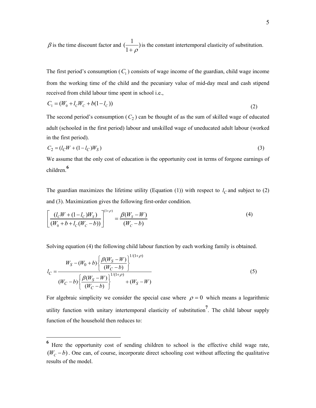$\beta$  is the time discount factor and  $\left(\frac{1}{1}\right)$ 1  $\frac{1}{1}$  $\frac{1}{1+\rho}$  is the constant intertemporal elasticity of substitution.

The first period's consumption  $(C_1)$  consists of wage income of the guardian, child wage income from the working time of the child and the pecuniary value of mid-day meal and cash stipend received from child labour time spent in school i.e.,

$$
C_1 = (W_0 + l_c W_c + b(1 - l_c))
$$
\n(2)

The second period's consumption  $(C_2)$  can be thought of as the sum of skilled wage of educated adult (schooled in the first period) labour and unskilled wage of uneducated adult labour (worked in the first period).

$$
C_2 = (l_C W + (1 - l_C)W_S)
$$
\n(3)

We assume that the only cost of education is the opportunity cost in terms of forgone earnings of children.**<sup>6</sup>**

The guardian maximizes the lifetime utility (Equation (1)) with respect to  $l_c$  and subject to (2) and (3). Maximization gives the following first-order condition.

$$
\left[\frac{(l_c W + (1 - l_c)W_s)}{(W_0 + b + l_c(W_c - b))}\right]^{(1+\rho)} = \frac{\beta(W_s - W)}{(W_c - b)}
$$
(4)

Solving equation (4) the following child labour function by each working family is obtained.

$$
l_C = \frac{W_S - (W_0 + b) \left\{ \frac{\beta(W_S - W)}{(W_C - b)} \right\}^{1/(1+\rho)}}{(W_C - b) \left\{ \frac{\beta(W_S - W)}{(W_C - b)} \right\}^{1/(1+\rho)}} + (W_S - W)
$$
\n(5)

For algebraic simplicity we consider the special case where  $\rho = 0$  which means a logarithmic utility function with unitary intertemporal elasticity of substitution**<sup>7</sup>** . The child labour supply function of the household then reduces to:

**<sup>6</sup>** Here the opportunity cost of sending children to school is the effective child wage rate,  $(W_c - b)$ . One can, of course, incorporate direct schooling cost without affecting the qualitative results of the model.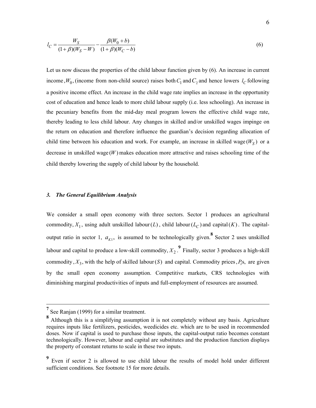$$
l_C = \frac{W_S}{(1+\beta)(W_S - W)} - \frac{\beta(W_0 + b)}{(1+\beta)(W_C - b)}
$$
(6)

Let us now discuss the properties of the child labour function given by  $(6)$ . An increase in current income,  $W_0$ , (income from non-child source) raises both  $C_1$  and  $C_2$  and hence lowers  $l_C$  following a positive income effect. An increase in the child wage rate implies an increase in the opportunity cost of education and hence leads to more child labour supply (i.e. less schooling). An increase in the pecuniary benefits from the mid-day meal program lowers the effective child wage rate, thereby leading to less child labour. Any changes in skilled and/or unskilled wages impinge on the return on education and therefore influence the guardian's decision regarding allocation of child time between his education and work. For example, an increase in skilled wage  $(W<sub>S</sub>)$  or a decrease in unskilled wage  $(W)$  makes education more attractive and raises schooling time of the child thereby lowering the supply of child labour by the household.

### *3. The General Equilibrium Analysis*

We consider a small open economy with three sectors. Sector 1 produces an agricultural commodity,  $X_1$ , using adult unskilled labour( $L$ ), child labour( $L_C$ ) and capital( $K$ ). The capitaloutput ratio in sector 1,  $a_{K1}$ , is assumed to be technologically given.<sup>8</sup> Sector 2 uses unskilled labour and capital to produce a low-skill commodity,  $X_2$ .  $\overset{9}{\sim}$  Finally, sector 3 produces a high-skill commodity,  $X_3$ , with the help of skilled labour(S) and capital. Commodity prices,  $P_i$ s, are given by the small open economy assumption. Competitive markets, CRS technologies with diminishing marginal productivities of inputs and full-employment of resources are assumed.

<sup>&</sup>lt;sup>7</sup> See Ranjan (1999) for a similar treatment.

**<sup>8</sup>** Although this is a simplifying assumption it is not completely without any basis. Agriculture requires inputs like fertilizers, pesticides, weedicides etc. which are to be used in recommended doses. Now if capital is used to purchase those inputs, the capital-output ratio becomes constant technologically. However, labour and capital are substitutes and the production function displays the property of constant returns to scale in these two inputs.

<sup>&</sup>lt;sup>9</sup> Even if sector 2 is allowed to use child labour the results of model hold under different sufficient conditions. See footnote 15 for more details.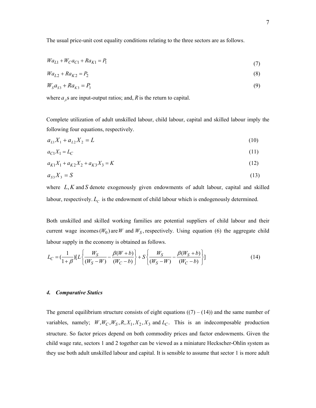The usual price-unit cost equality conditions relating to the three sectors are as follows.

$$
Wa_{L1} + W_C a_{C1} + Ra_{K1} = P_1
$$
\n(7)

$$
Wa_{L2} + Ra_{K2} = P_2 \tag{8}
$$

$$
W_s a_{s3} + R a_{k3} = P_3 \tag{9}
$$

where  $a_{ji}$ s are input-output ratios; and, *R* is the return to capital.

Complete utilization of adult unskilled labour, child labour, capital and skilled labour imply the following four equations, respectively.

$$
a_{L1}X_1 + a_{L2}X_2 = L \tag{10}
$$

$$
a_{C1}X_1 = L_C \tag{11}
$$

$$
a_{K1}X_1 + a_{K2}X_2 + a_{K3}X_3 = K\tag{12}
$$

$$
a_{s3}X_3 = S \tag{13}
$$

where  $L, K$  and  $S$  denote exogenously given endowments of adult labour, capital and skilled labour, respectively.  $L_c$  is the endowment of child labour which is endogenously determined.

Both unskilled and skilled working families are potential suppliers of child labour and their current wage incomes  $(W_0)$  are W and  $W_S$ , respectively. Using equation (6) the aggregate child labour supply in the economy is obtained as follows.

$$
L_C = \left(\frac{1}{1+\beta}\right) \left[L \left\{\frac{W_S}{(W_S - W)} - \frac{\beta(W + b)}{(W_C - b)}\right\} + S \left\{\frac{W_S}{(W_S - W)} - \frac{\beta(W_S + b)}{(W_C - b)}\right\}\right]
$$
(14)

#### *4. Comparative Statics*

The general equilibrium structure consists of eight equations  $((7) - (14))$  and the same number of variables, namely;  $W, W_C, W_S, R, X_1, X_2, X_3$  and  $L_C$ . This is an indecomposable production structure. So factor prices depend on both commodity prices and factor endowments. Given the child wage rate, sectors 1 and 2 together can be viewed as a miniature Heckscher-Ohlin system as they use both adult unskilled labour and capital. It is sensible to assume that sector 1 is more adult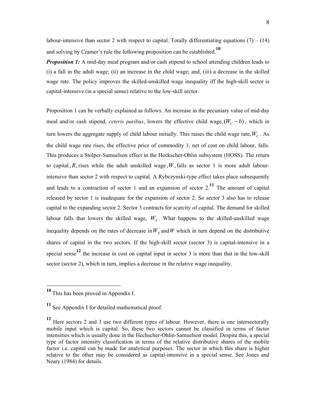labour-intensive than sector 2 with respect to capital. Totally differentiating equations  $(7) - (14)$ and solving by Cramer's rule the following proposition can be established.**<sup>10</sup>**

*Proposition 1:* A mid-day meal program and/or cash stipend to school attending children leads to (i) a fall in the adult wage; (ii) an increase in the child wage; and, (iii) a decrease in the skilled wage rate. The policy improves the skilled-unskilled wage inequality iff the high-skill sector is capital-intensive (in a special sense) relative to the low-skill sector.

Proposition 1 can be verbally explained as follows. An increase in the pecuniary value of mid-day meal and/or cash stipend, *ceteris paribus*, lowers the effective child wage,  $(W_c - b)$ , which in turn lowers the aggregate supply of child labour initially. This raises the child wage rate, $W_C$ . As the child wage rate rises, the effective price of commodity 1, net of cost on child labour, falls. This produces a Stolper-Samuelson effect in the Heckscher-Ohlin subsystem (HOSS). The return to capital, R, rises while the adult unskilled wage, W, falls as sector 1 is more adult labourintensive than sector 2 with respect to capital. A Rybczynski-type effect takes place subsequently and leads to a contraction of sector 1 and an expansion of sector  $2<sup>11</sup>$ . The amount of capital released by sector 1 is inadequate for the expansion of sector 2. So sector 3 also has to release capital to the expanding sector 2. Sector 3 contracts for scarcity of capital. The demand for skilled labour falls that lowers the skilled wage,  $W<sub>S</sub>$ . What happens to the skilled-unskilled wage inequality depends on the rates of decrease in  $W<sub>S</sub>$  and W which in turn depend on the distributive shares of capital in the two sectors. If the high-skill sector (sector 3) is capital-intensive in a special sense<sup>12</sup> the increase in cost on capital input in sector 3 is more than that in the low-skill sector (sector 2), which in turn, implies a decrease in the relative wage inequality.

**<sup>10</sup>** This has been proved in Appendix I.

**<sup>11</sup>** See Appendix I for detailed mathematical proof.

**<sup>12</sup>** Here sectors 2 and 3 use two different types of labour. However, there is one intersectorally mobile input which is capital. So, these two sectors cannot be classified in terms of factor intensities which is usually done in the Hechscher-Ohlin-Samuelson model. Despite this, a special type of factor intensity classification in terms of the relative distributive shares of the mobile factor i.e. capital can be made for analytical purposes. The sector in which this share is higher relative to the other may be considered as capital-intensive in a special sense. See Jones and Neary (1984) for details.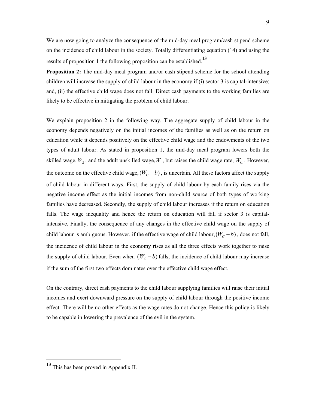We are now going to analyze the consequence of the mid-day meal program/cash stipend scheme on the incidence of child labour in the society. Totally differentiating equation (14) and using the results of proposition 1 the following proposition can be established.**<sup>13</sup>**

**Proposition 2:** The mid-day meal program and/or cash stipend scheme for the school attending children will increase the supply of child labour in the economy if (i) sector 3 is capital-intensive; and, (ii) the effective child wage does not fall. Direct cash payments to the working families are likely to be effective in mitigating the problem of child labour.

We explain proposition 2 in the following way. The aggregate supply of child labour in the economy depends negatively on the initial incomes of the families as well as on the return on education while it depends positively on the effective child wage and the endowments of the two types of adult labour. As stated in proposition 1, the mid-day meal program lowers both the skilled wage,  $W_s$ , and the adult unskilled wage,  $W$ , but raises the child wage rate,  $W_C$ . However, the outcome on the effective child wage,  $(W_C - b)$ , is uncertain. All these factors affect the supply of child labour in different ways. First, the supply of child labour by each family rises via the negative income effect as the initial incomes from non-child source of both types of working families have decreased. Secondly, the supply of child labour increases if the return on education falls. The wage inequality and hence the return on education will fall if sector 3 is capitalintensive. Finally, the consequence of any changes in the effective child wage on the supply of child labour is ambiguous. However, if the effective wage of child labour,  $(W_c - b)$ , does not fall, the incidence of child labour in the economy rises as all the three effects work together to raise the supply of child labour. Even when  $(W_c - b)$  falls, the incidence of child labour may increase if the sum of the first two effects dominates over the effective child wage effect.

On the contrary, direct cash payments to the child labour supplying families will raise their initial incomes and exert downward pressure on the supply of child labour through the positive income effect. There will be no other effects as the wage rates do not change. Hence this policy is likely to be capable in lowering the prevalence of the evil in the system.

**<sup>13</sup>** This has been proved in Appendix II.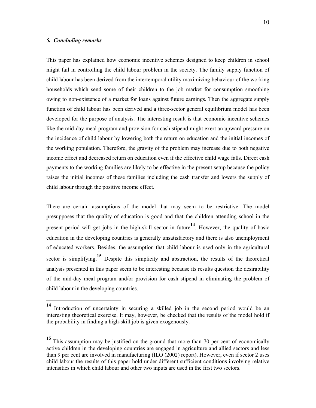#### *5. Concluding remarks*

-

This paper has explained how economic incentive schemes designed to keep children in school might fail in controlling the child labour problem in the society. The family supply function of child labour has been derived from the intertemporal utility maximizing behaviour of the working households which send some of their children to the job market for consumption smoothing owing to non-existence of a market for loans against future earnings. Then the aggregate supply function of child labour has been derived and a three-sector general equilibrium model has been developed for the purpose of analysis. The interesting result is that economic incentive schemes like the mid-day meal program and provision for cash stipend might exert an upward pressure on the incidence of child labour by lowering both the return on education and the initial incomes of the working population. Therefore, the gravity of the problem may increase due to both negative income effect and decreased return on education even if the effective child wage falls. Direct cash payments to the working families are likely to be effective in the present setup because the policy raises the initial incomes of these families including the cash transfer and lowers the supply of child labour through the positive income effect.

There are certain assumptions of the model that may seem to be restrictive. The model presupposes that the quality of education is good and that the children attending school in the present period will get jobs in the high-skill sector in future**14**. However, the quality of basic education in the developing countries is generally unsatisfactory and there is also unemployment of educated workers. Besides, the assumption that child labour is used only in the agricultural sector is simplifying.**15** Despite this simplicity and abstraction, the results of the theoretical analysis presented in this paper seem to be interesting because its results question the desirability of the mid-day meal program and/or provision for cash stipend in eliminating the problem of child labour in the developing countries.

**<sup>14</sup>** Introduction of uncertainty in securing a skilled job in the second period would be an interesting theoretical exercise. It may, however, be checked that the results of the model hold if the probability in finding a high-skill job is given exogenously.

**<sup>15</sup>** This assumption may be justified on the ground that more than 70 per cent of economically active children in the developing countries are engaged in agriculture and allied sectors and less than 9 per cent are involved in manufacturing (ILO (2002) report). However, even if sector 2 uses child labour the results of this paper hold under different sufficient conditions involving relative intensities in which child labour and other two inputs are used in the first two sectors.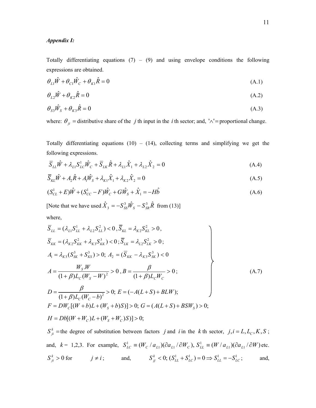### *Appendix I:*

Totally differentiating equations  $(7) - (9)$  and using envelope conditions the following expressions are obtained.

$$
\theta_{L1}\hat{W} + \theta_{C1}\hat{W}_C + \theta_{K1}\hat{R} = 0
$$
\n(A.1)

$$
\theta_{L2}\hat{W} + \theta_{K2}\hat{R} = 0\tag{A.2}
$$

$$
\theta_{s3}\hat{W}_s + \theta_{k3}\hat{R} = 0\tag{A.3}
$$

where:  $\theta_{ji}$  = distributive share of the *j* th input in the *i* th sector; and, '∧'= proportional change.

Totally differentiating equations  $(10) - (14)$ , collecting terms and simplifying we get the following expressions.

$$
\overline{S}_{LL}\hat{W} + \lambda_{L1}S_{LC}^1\hat{W}_C + \overline{S}_{LK}\hat{R} + \lambda_{L1}\hat{X}_1 + \lambda_{L2}\hat{X}_2 = 0
$$
\n(A.4)

$$
\overline{S}_{KL}\hat{W} + A_2\hat{R} + A_1\hat{W}_S + \lambda_{K1}\hat{X}_1 + \lambda_{K2}\hat{X}_2 = 0
$$
\n(A.5)

$$
(S_{CL}^{1} + E)\hat{W} + (S_{CC}^{1} - F)\hat{W}_{C} + G\hat{W}_{S} + \hat{X}_{1} = -H\hat{b}
$$
\n(A.6)

[Note that we have used  $\hat{X}_3 = -S_{SS}^3 \hat{W}_S - S_{SR}^3 \hat{R}$  from (13)] where,

$$
\overline{S}_{LL} = (\lambda_{L1} S_{LL}^1 + \lambda_{L2} S_{LL}^2) < 0, \overline{S}_{KL} = \lambda_{K2} S_{KL}^2 > 0,
$$
\n
$$
\overline{S}_{KK} = (\lambda_{K2} S_{KK}^2 + \lambda_{K3} S_{KK}^3) < 0; \overline{S}_{LK} = \lambda_{L2} S_{LK}^2 > 0;
$$
\n
$$
A_1 = \lambda_{K3} (S_{SK}^3 + S_{KS}^3) > 0; A_2 = (\overline{S}_{KK} - \lambda_{K3} S_{SK}^3) < 0
$$
\n
$$
A = \frac{W_S W}{(1 + \beta) L_C (W_S - W)^2} > 0, B = \frac{\beta}{(1 + \beta) L_C W_C} > 0;
$$
\n
$$
D = \frac{\beta}{(1 + \beta) L_C (W_C - b)^2} > 0; E = (-A(L + S) + BLW);
$$
\n
$$
F = DW_C [(W + b)L + (W_S + b)S] > 0; G = (A(L + S) + BSW_S) > 0;
$$
\n
$$
H = Db [(W + W_C)L + (W_S + W_C)S)] > 0;
$$

 $S_{ji}^k$  =the degree of substitution between factors *j* and *i* in the *k* th sector, *j*, *i* = *L*, *L*<sub>C</sub>, *K*, *S*; and,  $k = 1,2,3$ . For example,  $S_{LC}^1 \equiv (W_C / a_{L1})(\partial a_{L1} / \partial W_C)$ ,  $S_{LL}^1 \equiv (W / a_{L1})(\partial a_{L1} / \partial W)$  $S_{LL}^1 \equiv (W / a_{L1}) (\partial a_{L1} / \partial W)$  etc.  $S_{ji}^k > 0$  for  $j \neq i$ ; and,  $S_{jj}^k < 0$ ;  $(S_{LL}^1 + S_{LC}^1) = 0 \Rightarrow S_{LL}^1 = -S_{LC}^1$ ; and,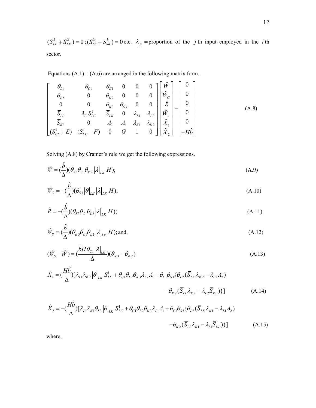$(S_{LL}^2 + S_{LK}^2) = 0$ ;  $(S_{SS}^3 + S_{SK}^3) = 0$  etc.  $\lambda_{ji}$  = proportion of the *j* th input employed in the *i* th sector.

Equations  $(A.1) - (A.6)$  are arranged in the following matrix form.

$$
\begin{bmatrix}\n\theta_{L1} & \theta_{C1} & \theta_{K1} & 0 & 0 & 0 \\
\theta_{L2} & 0 & \theta_{K2} & 0 & 0 & 0 \\
0 & 0 & \theta_{K3} & \theta_{S3} & 0 & 0 \\
\overline{S}_{L1} & \lambda_{L1} S_{LC}^1 & \overline{S}_{LK} & 0 & \lambda_{L1} & \lambda_{L2} \\
\overline{S}_{KL} & 0 & A_2 & A_1 & \lambda_{K1} & \lambda_{K2} \\
(S_{CL}^1 + E) & (S_{CC}^1 - F) & 0 & G & 1 & 0\n\end{bmatrix}\n\begin{bmatrix}\n\hat{W} \\
\hat{W}_C \\
\hat{R} \\
\hat{R} \\
\hat{W}_S \\
\hat{X}_1 \\
\hat{X}_2\n\end{bmatrix} =\n\begin{bmatrix}\n0 \\
0 \\
0 \\
0 \\
0 \\
-\hat{H}\hat{b}\n\end{bmatrix}
$$
\n(A.8)

Solving (A.8) by Cramer's rule we get the following expressions.

$$
\hat{W} = \left(\frac{\hat{b}}{\Delta}\right)(\theta_{S3}\theta_{C1}\theta_{K2} | \lambda|_{LK} H);
$$
\n(A.9)

$$
\hat{W}_C = -\left(\frac{\hat{b}}{\Delta}\right)(\theta_{S3}|\theta|_{LK}|\lambda|_{LK} H);
$$
\n(A.10)

$$
\hat{R} = -\left(\frac{\hat{b}}{\Delta}\right)(\theta_{S3}\theta_{C1}\theta_{L2}|\lambda|_{LK}H);
$$
\n(A.11)

$$
\hat{W}_S = (\frac{\hat{b}}{\Delta})(\theta_{K3}\theta_{C1}\theta_{L2}|\lambda|_{LK}H); \text{and,}
$$
\n(A.12)

$$
(\hat{W}_S - \hat{W}) = (\frac{\hat{b}H\theta_{C1}|\lambda|_{LK}}{\Delta})(\theta_{K3} - \theta_{K2})
$$
\n(A.13)

$$
\hat{X}_1 = \left(\frac{H\hat{b}}{\Delta}\right) [\lambda_{L1}\lambda_{K2} | \theta]_{LK} S_{LC}^1 + \theta_{C1}\theta_{L2}\theta_{K3}\lambda_{L2}A_1 + \theta_{C1}\theta_{S3} \{\theta_{L2} (\overline{S}_{LK}\lambda_{K2} - \lambda_{L2}A_2) - \theta_{K2} (\overline{S}_{LL}\lambda_{K2} - \lambda_{L2}\overline{S}_{KL})\}\right]
$$
(A.14)

$$
\hat{X}_2 = -\left(\frac{H\hat{b}}{\Delta}\right) [\lambda_{L1}\lambda_{K1}\theta_{S3} | \theta]_{LK} S_{LC}^1 + \theta_{C1}\theta_{L2}\theta_{K3}\lambda_{L1}A_1 + \theta_{C1}\theta_{S3} \{\theta_{L2} (\overline{S}_{LK}\lambda_{K1} - \lambda_{L1}A_2) - \theta_{K2} (\overline{S}_{LL}\lambda_{K1} - \lambda_{L1}\overline{S}_{KL})\}\]
$$
\n(A.15)

where,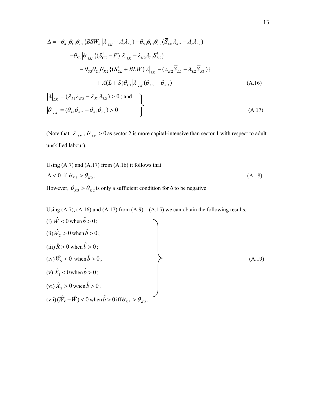$$
\Delta = -\theta_{K3}\theta_{C1}\theta_{L2} \{BSW_S | \lambda |_{LK} + A_1\lambda_{L2} \} - \theta_{S3}\theta_{C1}\theta_{L2} (\overline{S}_{LK}\lambda_{K2} - A_2\lambda_{L2})
$$
  
+  $\theta_{S3} |\theta|_{LK} \{ (S_{CC}^1 - F) | \lambda |_{LK} - \lambda_{K2}\lambda_{L1}S_{LC}^1 \}$   
-  $\theta_{S3}\theta_{C1}\theta_{K2} \{ (S_{CL}^1 + BLW) | \lambda |_{LK} - (\lambda_{K2}\overline{S}_{LL} - \lambda_{L2}\overline{S}_{KL}) \}$   
+  $A(L+S)\theta_{C1} |\lambda |_{LK} (\theta_{K2} - \theta_{K3})$  (A.16)

$$
\left|\lambda\right|_{LK} = \left(\lambda_{L1}\lambda_{K2} - \lambda_{K1}\lambda_{L2}\right) > 0; \text{ and,}
$$
\n
$$
\left|\theta\right|_{LK} = \left(\theta_{L1}\theta_{K2} - \theta_{K1}\theta_{L2}\right) > 0
$$
\n(A.17)

(Note that  $|\lambda|_{LK}$ ,  $|\theta|_{LK} > 0$  as sector 2 is more capital-intensive than sector 1 with respect to adult unskilled labour).

Using (A.7) and (A.17) from (A.16) it follows that  
\n
$$
\Delta < 0 \text{ if } \theta_{K3} > \theta_{K2}.
$$
\n(A.18)

However,  $\theta_{K3} > \theta_{K2}$  is only a sufficient condition for  $\Delta$  to be negative.

Using  $(A.7)$ ,  $(A.16)$  and  $(A.17)$  from  $(A.9) - (A.15)$  we can obtain the following results.

(i) 
$$
\hat{W} < 0
$$
 when  $\hat{b} > 0$ ;  
\n(ii)  $\hat{W}_c > 0$  when  $\hat{b} > 0$ ;  
\n(iii)  $\hat{R} > 0$  when  $\hat{b} > 0$ ;  
\n(iv)  $\hat{W}_s < 0$  when  $\hat{b} > 0$ ;  
\n(v)  $\hat{X}_1 < 0$  when  $\hat{b} > 0$ ;  
\n(vi)  $\hat{X}_2 > 0$  when  $\hat{b} > 0$ .  
\n(vii)  $(\hat{W}_s - \hat{W}) < 0$  when  $\hat{b} > 0$  iff  $\theta_{K3} > \theta_{K2}$ .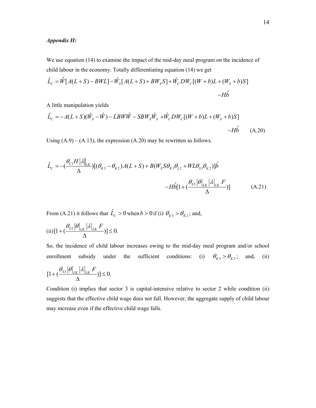# *Appendix II:*

We use equation (14) to examine the impact of the mid-day meal program on the incidence of child labour in the economy. Totally differentiating equation (14) we get

$$
\hat{L}_C = \hat{W}[A(L+S) - BWL] - \hat{W}_S[A(L+S) + BW_S S] + \hat{W}_C DW_C[(W+b)L + (W_S+b)S]
$$
  
-*Hb*

A little manipulation yields

$$
\hat{L}_C = -A(L+S)(\hat{W}_S - \hat{W}) - LBW\hat{W} - SBW_S\hat{W}_S + \hat{W}_C DW_C[(W+b)L + (W_S+b)S] - H\hat{b}
$$
\n(A.20)

Using  $(A.9) - (A.13)$ , the expression  $(A.20)$  may be rewritten as follows.

$$
\hat{L}_C = -\left(\frac{\theta_{C1}H|\lambda|_{LK}}{\Delta}\right)[(\theta_{K3} - \theta_{K2})A(L+S) + B(W_S S \theta_{K3} \theta_{L2} + WL\theta_{S3} \theta_{K2})]\hat{b}
$$

$$
-H\hat{b}[1 + \left(\frac{\theta_{S3}|\theta|_{LK}|\lambda|_{LK}F}{\Delta}\right)]
$$
(A.21)

From (A.21) it follows that  $\hat{L}_C > 0$  when  $b > 0$  if (i)  $\theta_{K3} > \theta_{K2}$ ; and,

$$
(ii) \left[1 + \left(\frac{\theta_{S3}|\theta|_{LK} |\lambda|_{LK} F}{\Delta}\right)\right] \le 0.
$$

So, the incidence of child labour increases owing to the mid-day meal program and/or school enrollment subsidy under the sufficient conditions: (i)  $\theta_{K3} > \theta_{K2}$ ; and, (ii)

$$
[1 + \left(\frac{\theta_{S3}|\theta|_{LK}|\lambda|_{LK} F}{\Delta}\right)] \leq 0.
$$

Condition (i) implies that sector 3 is capital-intensive relative to sector 2 while condition (ii) suggests that the effective child wage does not fall. However, the aggregate supply of child labour may increase even if the effective child wage falls.